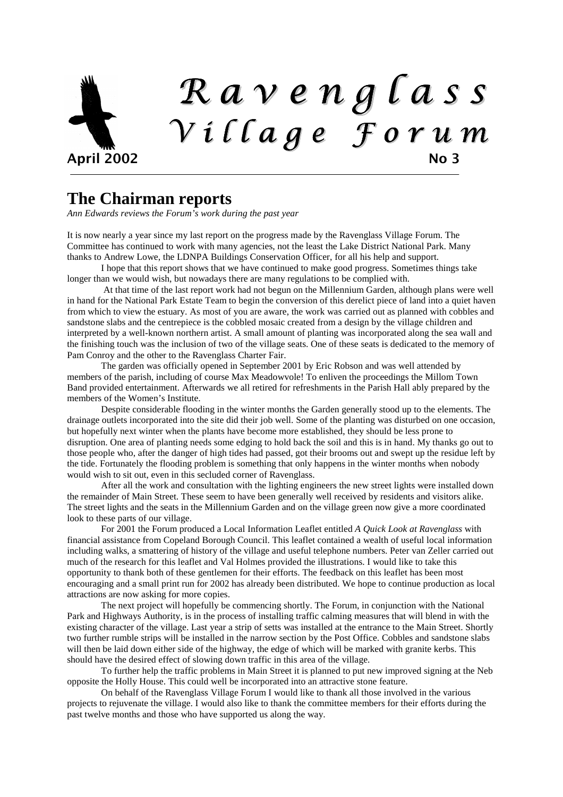# R a v e n g l a s s V i l l a g e F o r u m April 2002 No 3

#### **The Chairman reports**

*Ann Edwards reviews the Forum's work during the past year* 

It is now nearly a year since my last report on the progress made by the Ravenglass Village Forum. The Committee has continued to work with many agencies, not the least the Lake District National Park. Many thanks to Andrew Lowe, the LDNPA Buildings Conservation Officer, for all his help and support.

I hope that this report shows that we have continued to make good progress. Sometimes things take longer than we would wish, but nowadays there are many regulations to be complied with.

 At that time of the last report work had not begun on the Millennium Garden, although plans were well in hand for the National Park Estate Team to begin the conversion of this derelict piece of land into a quiet haven from which to view the estuary. As most of you are aware, the work was carried out as planned with cobbles and sandstone slabs and the centrepiece is the cobbled mosaic created from a design by the village children and interpreted by a well-known northern artist. A small amount of planting was incorporated along the sea wall and the finishing touch was the inclusion of two of the village seats. One of these seats is dedicated to the memory of Pam Conroy and the other to the Ravenglass Charter Fair.

The garden was officially opened in September 2001 by Eric Robson and was well attended by members of the parish, including of course Max Meadowvole! To enliven the proceedings the Millom Town Band provided entertainment. Afterwards we all retired for refreshments in the Parish Hall ably prepared by the members of the Women's Institute.

Despite considerable flooding in the winter months the Garden generally stood up to the elements. The drainage outlets incorporated into the site did their job well. Some of the planting was disturbed on one occasion, but hopefully next winter when the plants have become more established, they should be less prone to disruption. One area of planting needs some edging to hold back the soil and this is in hand. My thanks go out to those people who, after the danger of high tides had passed, got their brooms out and swept up the residue left by the tide. Fortunately the flooding problem is something that only happens in the winter months when nobody would wish to sit out, even in this secluded corner of Ravenglass.

 After all the work and consultation with the lighting engineers the new street lights were installed down the remainder of Main Street. These seem to have been generally well received by residents and visitors alike. The street lights and the seats in the Millennium Garden and on the village green now give a more coordinated look to these parts of our village.

For 2001 the Forum produced a Local Information Leaflet entitled *A Quick Look at Ravenglass* with financial assistance from Copeland Borough Council. This leaflet contained a wealth of useful local information including walks, a smattering of history of the village and useful telephone numbers. Peter van Zeller carried out much of the research for this leaflet and Val Holmes provided the illustrations. I would like to take this opportunity to thank both of these gentlemen for their efforts. The feedback on this leaflet has been most encouraging and a small print run for 2002 has already been distributed. We hope to continue production as local attractions are now asking for more copies.

 The next project will hopefully be commencing shortly. The Forum, in conjunction with the National Park and Highways Authority, is in the process of installing traffic calming measures that will blend in with the existing character of the village. Last year a strip of setts was installed at the entrance to the Main Street. Shortly two further rumble strips will be installed in the narrow section by the Post Office. Cobbles and sandstone slabs will then be laid down either side of the highway, the edge of which will be marked with granite kerbs. This should have the desired effect of slowing down traffic in this area of the village.

 To further help the traffic problems in Main Street it is planned to put new improved signing at the Neb opposite the Holly House. This could well be incorporated into an attractive stone feature.

On behalf of the Ravenglass Village Forum I would like to thank all those involved in the various projects to rejuvenate the village. I would also like to thank the committee members for their efforts during the past twelve months and those who have supported us along the way.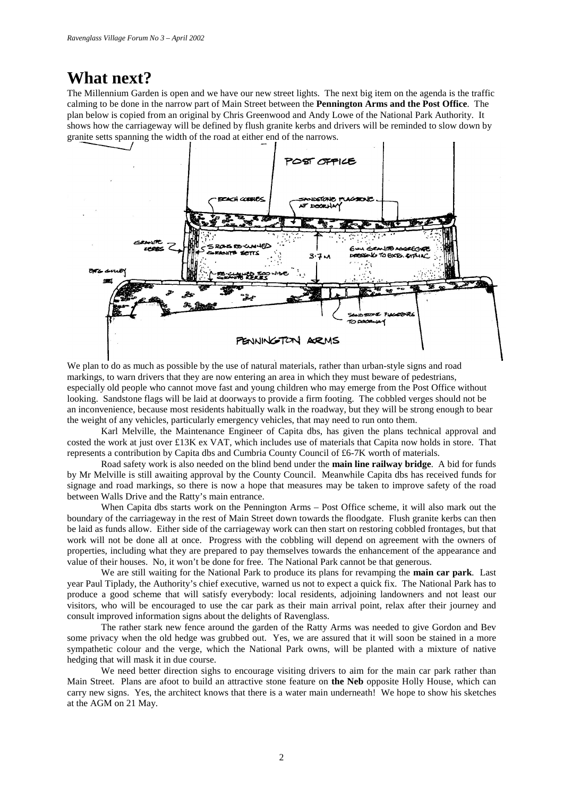#### **What next?**

The Millennium Garden is open and we have our new street lights. The next big item on the agenda is the traffic calming to be done in the narrow part of Main Street between the **Pennington Arms and the Post Office**. The plan below is copied from an original by Chris Greenwood and Andy Lowe of the National Park Authority. It shows how the carriageway will be defined by flush granite kerbs and drivers will be reminded to slow down by granite setts spanning the width of the road at either end of the narrows.



We plan to do as much as possible by the use of natural materials, rather than urban-style signs and road markings, to warn drivers that they are now entering an area in which they must beware of pedestrians, especially old people who cannot move fast and young children who may emerge from the Post Office without looking. Sandstone flags will be laid at doorways to provide a firm footing. The cobbled verges should not be an inconvenience, because most residents habitually walk in the roadway, but they will be strong enough to bear the weight of any vehicles, particularly emergency vehicles, that may need to run onto them.

 Karl Melville, the Maintenance Engineer of Capita dbs, has given the plans technical approval and costed the work at just over £13K ex VAT, which includes use of materials that Capita now holds in store. That represents a contribution by Capita dbs and Cumbria County Council of £6-7K worth of materials.

 Road safety work is also needed on the blind bend under the **main line railway bridge**. A bid for funds by Mr Melville is still awaiting approval by the County Council. Meanwhile Capita dbs has received funds for signage and road markings, so there is now a hope that measures may be taken to improve safety of the road between Walls Drive and the Ratty's main entrance.

 When Capita dbs starts work on the Pennington Arms – Post Office scheme, it will also mark out the boundary of the carriageway in the rest of Main Street down towards the floodgate. Flush granite kerbs can then be laid as funds allow. Either side of the carriageway work can then start on restoring cobbled frontages, but that work will not be done all at once. Progress with the cobbling will depend on agreement with the owners of properties, including what they are prepared to pay themselves towards the enhancement of the appearance and value of their houses. No, it won't be done for free. The National Park cannot be that generous.

 We are still waiting for the National Park to produce its plans for revamping the **main car park**. Last year Paul Tiplady, the Authority's chief executive, warned us not to expect a quick fix. The National Park has to produce a good scheme that will satisfy everybody: local residents, adjoining landowners and not least our visitors, who will be encouraged to use the car park as their main arrival point, relax after their journey and consult improved information signs about the delights of Ravenglass.

 The rather stark new fence around the garden of the Ratty Arms was needed to give Gordon and Bev some privacy when the old hedge was grubbed out. Yes, we are assured that it will soon be stained in a more sympathetic colour and the verge, which the National Park owns, will be planted with a mixture of native hedging that will mask it in due course.

We need better direction sighs to encourage visiting drivers to aim for the main car park rather than Main Street. Plans are afoot to build an attractive stone feature on **the Neb** opposite Holly House, which can carry new signs. Yes, the architect knows that there is a water main underneath! We hope to show his sketches at the AGM on 21 May.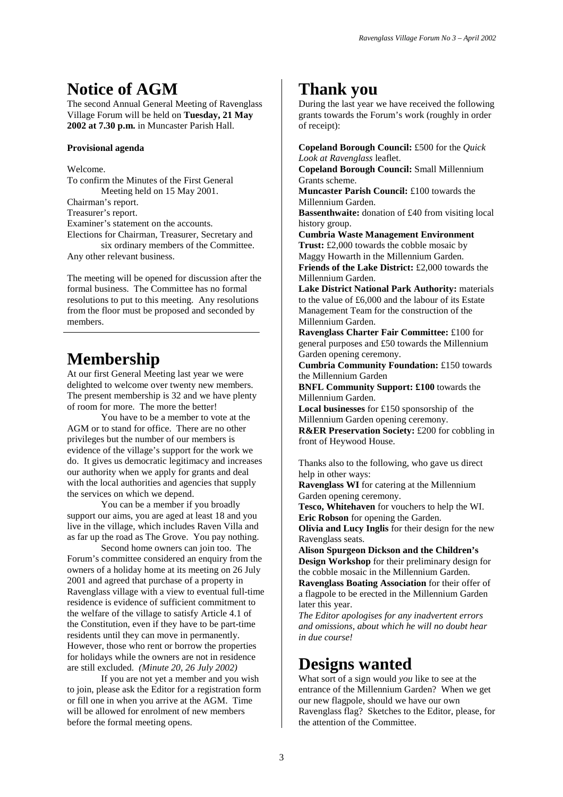# **Notice of AGM**

The second Annual General Meeting of Ravenglass Village Forum will be held on **Tuesday, 21 May 2002 at 7.30 p.m.** in Muncaster Parish Hall.

#### **Provisional agenda**

#### Welcome.

To confirm the Minutes of the First General Meeting held on 15 May 2001. Chairman's report. Treasurer's report. Examiner's statement on the accounts. Elections for Chairman, Treasurer, Secretary and six ordinary members of the Committee. Any other relevant business.

The meeting will be opened for discussion after the formal business. The Committee has no formal resolutions to put to this meeting. Any resolutions from the floor must be proposed and seconded by members.

#### **Membership**

At our first General Meeting last year we were delighted to welcome over twenty new members. The present membership is 32 and we have plenty of room for more. The more the better!

 You have to be a member to vote at the AGM or to stand for office. There are no other privileges but the number of our members is evidence of the village's support for the work we do. It gives us democratic legitimacy and increases our authority when we apply for grants and deal with the local authorities and agencies that supply the services on which we depend.

 You can be a member if you broadly support our aims, you are aged at least 18 and you live in the village, which includes Raven Villa and as far up the road as The Grove. You pay nothing.

Second home owners can join too. The Forum's committee considered an enquiry from the owners of a holiday home at its meeting on 26 July 2001 and agreed that purchase of a property in Ravenglass village with a view to eventual full-time residence is evidence of sufficient commitment to the welfare of the village to satisfy Article 4.1 of the Constitution, even if they have to be part-time residents until they can move in permanently. However, those who rent or borrow the properties for holidays while the owners are not in residence are still excluded. *(Minute 20, 26 July 2002)* 

 If you are not yet a member and you wish to join, please ask the Editor for a registration form or fill one in when you arrive at the AGM. Time will be allowed for enrolment of new members before the formal meeting opens.

## **Thank you**

During the last year we have received the following grants towards the Forum's work (roughly in order of receipt):

**Copeland Borough Council:** £500 for the *Quick Look at Ravenglass* leaflet.

**Copeland Borough Council:** Small Millennium Grants scheme.

**Muncaster Parish Council:** £100 towards the Millennium Garden.

**Bassenthwaite:** donation of £40 from visiting local history group.

**Cumbria Waste Management Environment Trust:** £2,000 towards the cobble mosaic by Maggy Howarth in the Millennium Garden. **Friends of the Lake District:** £2,000 towards the Millennium Garden.

**Lake District National Park Authority:** materials to the value of £6,000 and the labour of its Estate Management Team for the construction of the Millennium Garden.

**Ravenglass Charter Fair Committee:** £100 for general purposes and £50 towards the Millennium Garden opening ceremony.

**Cumbria Community Foundation:** £150 towards the Millennium Garden

**BNFL Community Support: £100** towards the Millennium Garden.

**Local businesses** for £150 sponsorship of the Millennium Garden opening ceremony.

**R&ER Preservation Society:** £200 for cobbling in front of Heywood House.

Thanks also to the following, who gave us direct help in other ways:

**Ravenglass WI** for catering at the Millennium Garden opening ceremony.

**Tesco, Whitehaven** for vouchers to help the WI. **Eric Robson** for opening the Garden.

**Olivia and Lucy Inglis** for their design for the new Ravenglass seats.

**Alison Spurgeon Dickson and the Children's Design Workshop** for their preliminary design for the cobble mosaic in the Millennium Garden. **Ravenglass Boating Association** for their offer of

a flagpole to be erected in the Millennium Garden later this year.

*The Editor apologises for any inadvertent errors and omissions, about which he will no doubt hear in due course!* 

# **Designs wanted**

What sort of a sign would *you* like to see at the entrance of the Millennium Garden? When we get our new flagpole, should we have our own Ravenglass flag? Sketches to the Editor, please, for the attention of the Committee.